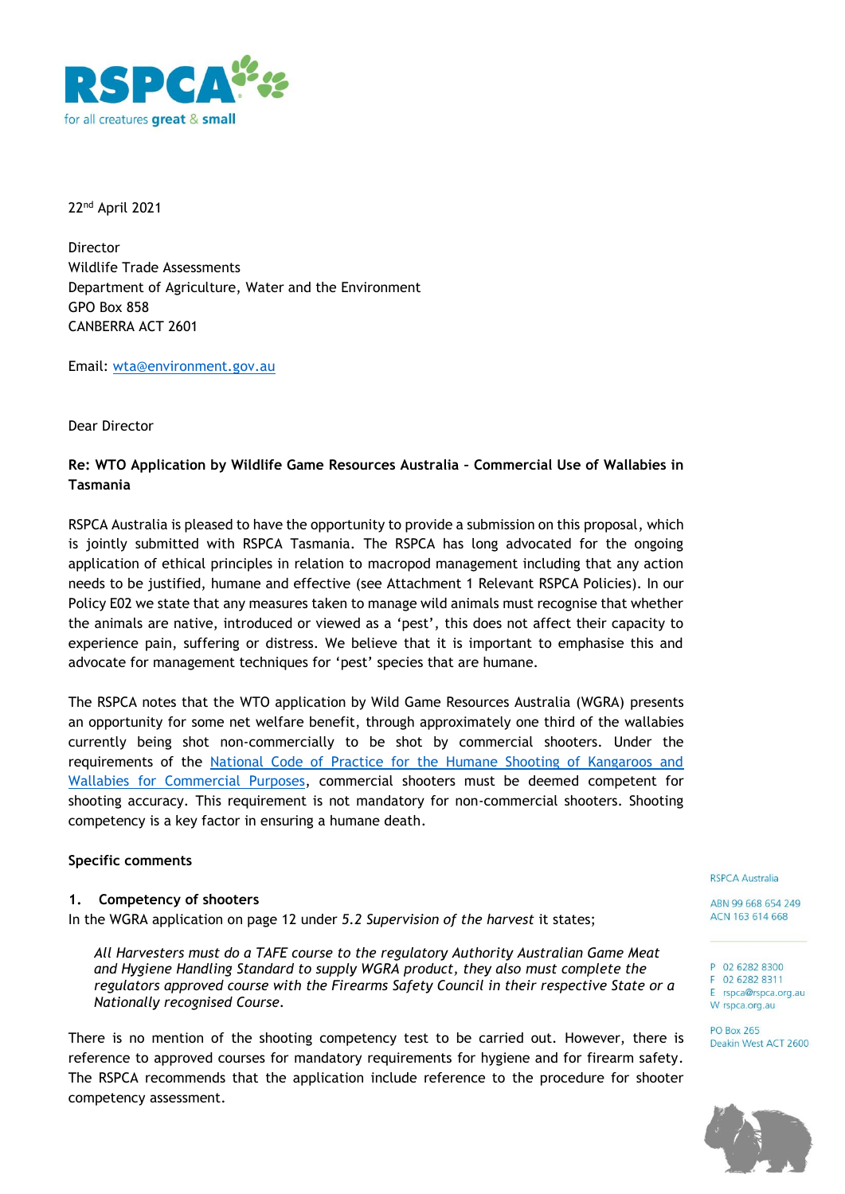

22nd April 2021

Director Wildlife Trade Assessments Department of Agriculture, Water and the Environment GPO Box 858 CANBERRA ACT 2601

Email: [wta@environment.gov.au](mailto:wta@environment.gov.au)

Dear Director

# **Re: WTO Application by Wildlife Game Resources Australia – Commercial Use of Wallabies in Tasmania**

RSPCA Australia is pleased to have the opportunity to provide a submission on this proposal, which is jointly submitted with RSPCA Tasmania. The RSPCA has long advocated for the ongoing application of ethical principles in relation to macropod management including that any action needs to be justified, humane and effective (see Attachment 1 Relevant RSPCA Policies). In our Policy E02 we state that any measures taken to manage wild animals must recognise that whether the animals are native, introduced or viewed as a 'pest', this does not affect their capacity to experience pain, suffering or distress. We believe that it is important to emphasise this and advocate for management techniques for 'pest' species that are humane.

The RSPCA notes that the WTO application by Wild Game Resources Australia (WGRA) presents an opportunity for some net welfare benefit, through approximately one third of the wallabies currently being shot non-commercially to be shot by commercial shooters. Under the requirements of the [National Code of Practice for the Humane Shooting of Kangaroos and](https://www.agrifutures.com.au/product/national-code-of-practice-for-the-humane-shooting-of-kangaroos-and-wallabies-for-commercial-purposes)  [Wallabies for Commercial Purposes,](https://www.agrifutures.com.au/product/national-code-of-practice-for-the-humane-shooting-of-kangaroos-and-wallabies-for-commercial-purposes) commercial shooters must be deemed competent for shooting accuracy. This requirement is not mandatory for non-commercial shooters. Shooting competency is a key factor in ensuring a humane death.

## **Specific comments**

#### **1. Competency of shooters**

In the WGRA application on page 12 under *5.2 Supervision of the harvest* it states;

*All Harvesters must do a TAFE course to the regulatory Authority Australian Game Meat and Hygiene Handling Standard to supply WGRA product, they also must complete the regulators approved course with the Firearms Safety Council in their respective State or a Nationally recognised Course.* 

There is no mention of the shooting competency test to be carried out. However, there is reference to approved courses for mandatory requirements for hygiene and for firearm safety. The RSPCA recommends that the application include reference to the procedure for shooter competency assessment.

#### **RSPCA Australia**

ABN 99 668 654 249 ACN 163 614 668

P 02 6282 8300 F 02 6282 8311 E rspca@rspca.org.au

W rspca.org.au

**PO Box 265** Deakin West ACT 2600

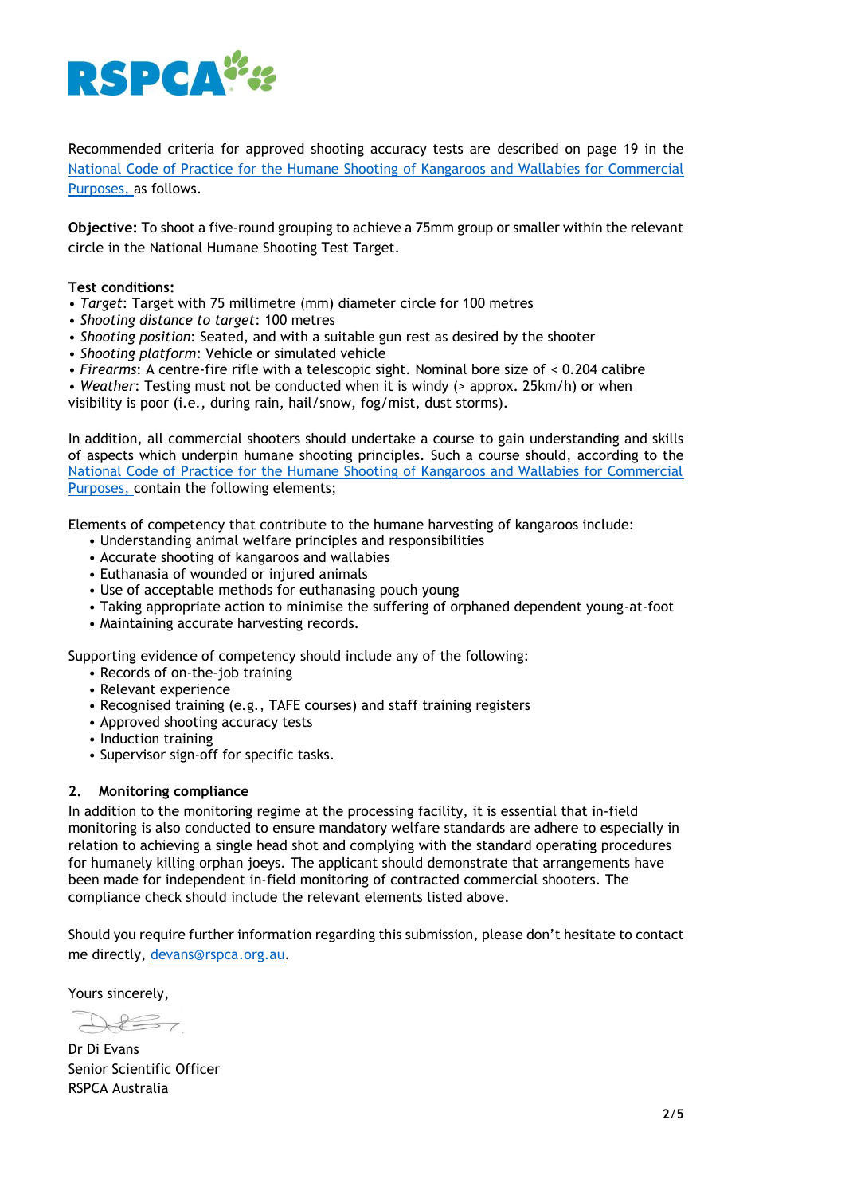

Recommended criteria for approved shooting accuracy tests are described on page 19 in the [National Code of Practice for the Humane Shooting of Kangaroos and Wallabies for Commercial](https://www.agrifutures.com.au/product/national-code-of-practice-for-the-humane-shooting-of-kangaroos-and-wallabies-for-commercial-purposes)  [Purposes,](https://www.agrifutures.com.au/product/national-code-of-practice-for-the-humane-shooting-of-kangaroos-and-wallabies-for-commercial-purposes) as follows.

**Objective:** To shoot a five-round grouping to achieve a 75mm group or smaller within the relevant circle in the National Humane Shooting Test Target.

### **Test conditions:**

- *Target*: Target with 75 millimetre (mm) diameter circle for 100 metres
- *Shooting distance to target*: 100 metres
- *Shooting position*: Seated, and with a suitable gun rest as desired by the shooter
- *Shooting platform*: Vehicle or simulated vehicle
- *Firearms*: A centre-fire rifle with a telescopic sight. Nominal bore size of < 0.204 calibre
- *Weather*: Testing must not be conducted when it is windy (> approx. 25km/h) or when

visibility is poor (i.e., during rain, hail/snow, fog/mist, dust storms).

In addition, all commercial shooters should undertake a course to gain understanding and skills of aspects which underpin humane shooting principles. Such a course should, according to the [National Code of Practice for the Humane Shooting of Kangaroos and Wallabies for Commercial](https://www.agrifutures.com.au/product/national-code-of-practice-for-the-humane-shooting-of-kangaroos-and-wallabies-for-commercial-purposes)  [Purposes,](https://www.agrifutures.com.au/product/national-code-of-practice-for-the-humane-shooting-of-kangaroos-and-wallabies-for-commercial-purposes) contain the following elements;

Elements of competency that contribute to the humane harvesting of kangaroos include:

- Understanding animal welfare principles and responsibilities
- Accurate shooting of kangaroos and wallabies
- Euthanasia of wounded or injured animals
- Use of acceptable methods for euthanasing pouch young
- Taking appropriate action to minimise the suffering of orphaned dependent young-at-foot
- Maintaining accurate harvesting records.

Supporting evidence of competency should include any of the following:

- Records of on-the-job training
- Relevant experience
- Recognised training (e.g., TAFE courses) and staff training registers
- Approved shooting accuracy tests
- Induction training
- Supervisor sign-off for specific tasks.

#### **2. Monitoring compliance**

In addition to the monitoring regime at the processing facility, it is essential that in-field monitoring is also conducted to ensure mandatory welfare standards are adhere to especially in relation to achieving a single head shot and complying with the standard operating procedures for humanely killing orphan joeys. The applicant should demonstrate that arrangements have been made for independent in-field monitoring of contracted commercial shooters. The compliance check should include the relevant elements listed above.

Should you require further information regarding this submission, please don't hesitate to contact me directly, [devans@rspca.org.au.](mailto:devans@rspca.org.au)

Yours sincerely,

Dr Di Evans Senior Scientific Officer RSPCA Australia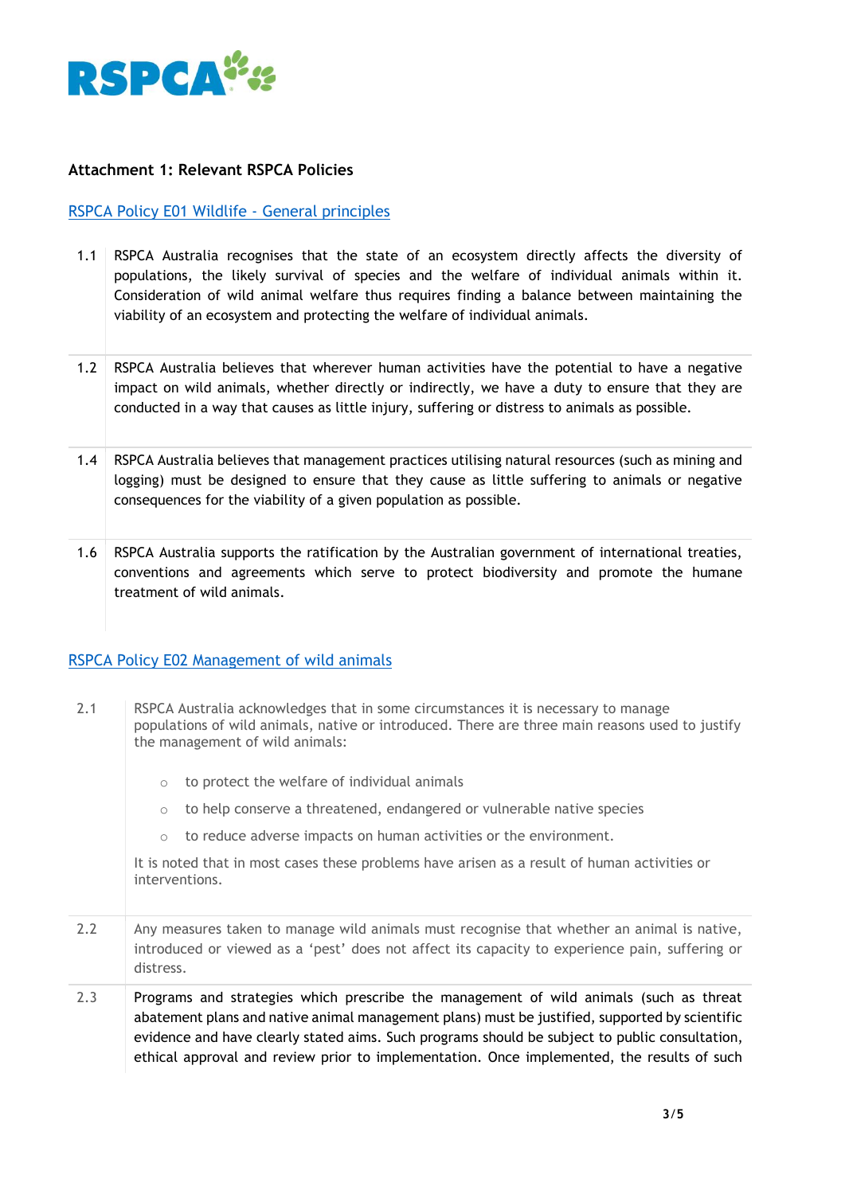

# **Attachment 1: Relevant RSPCA Policies**

# [RSPCA Policy E01 Wildlife -](https://kb.rspca.org.au/rspca-policy-e01-wildlife-general-principles_421.html) General principles

- 1.1 RSPCA Australia recognises that the state of an ecosystem directly affects the diversity of populations, the likely survival of species and the welfare of individual animals within it. Consideration of wild animal welfare thus requires finding a balance between maintaining the viability of an ecosystem and protecting the welfare of individual animals.
- 1.2 RSPCA Australia believes that wherever human activities have the potential to have a negative impact on wild animals, whether directly or indirectly, we have a duty to ensure that they are conducted in a way that causes as little injury, suffering or distress to animals as possible.
- 1.4 RSPCA Australia believes that management practices utilising natural resources (such as mining and logging) must be designed to ensure that they cause as little suffering to animals or negative consequences for the viability of a given population as possible.
- 1.6 RSPCA Australia supports the ratification by the Australian government of international treaties, conventions and agreements which serve to protect biodiversity and promote the humane treatment of wild animals.

## [RSPCA Policy E02 Management of wild animals](https://kb.rspca.org.au/rspca-policy-e02-management-of-wild-animals_422.html)

- 2.1 RSPCA Australia acknowledges that in some circumstances it is necessary to manage populations of wild animals, native or introduced. There are three main reasons used to justify the management of wild animals:
	- o to protect the welfare of individual animals
	- $\circ$  to help conserve a threatened, endangered or vulnerable native species
	- o to reduce adverse impacts on human activities or the environment.

It is noted that in most cases these problems have arisen as a result of human activities or interventions.

- 2.2 Any measures taken to manage wild animals must recognise that whether an animal is native, introduced or viewed as a 'pest' does not affect its capacity to experience pain, suffering or distress.
- 2.3 Programs and strategies which prescribe the management of wild animals (such as threat abatement plans and native animal management plans) must be justified, supported by scientific evidence and have clearly stated aims. Such programs should be subject to public consultation, ethical approval and review prior to implementation. Once implemented, the results of such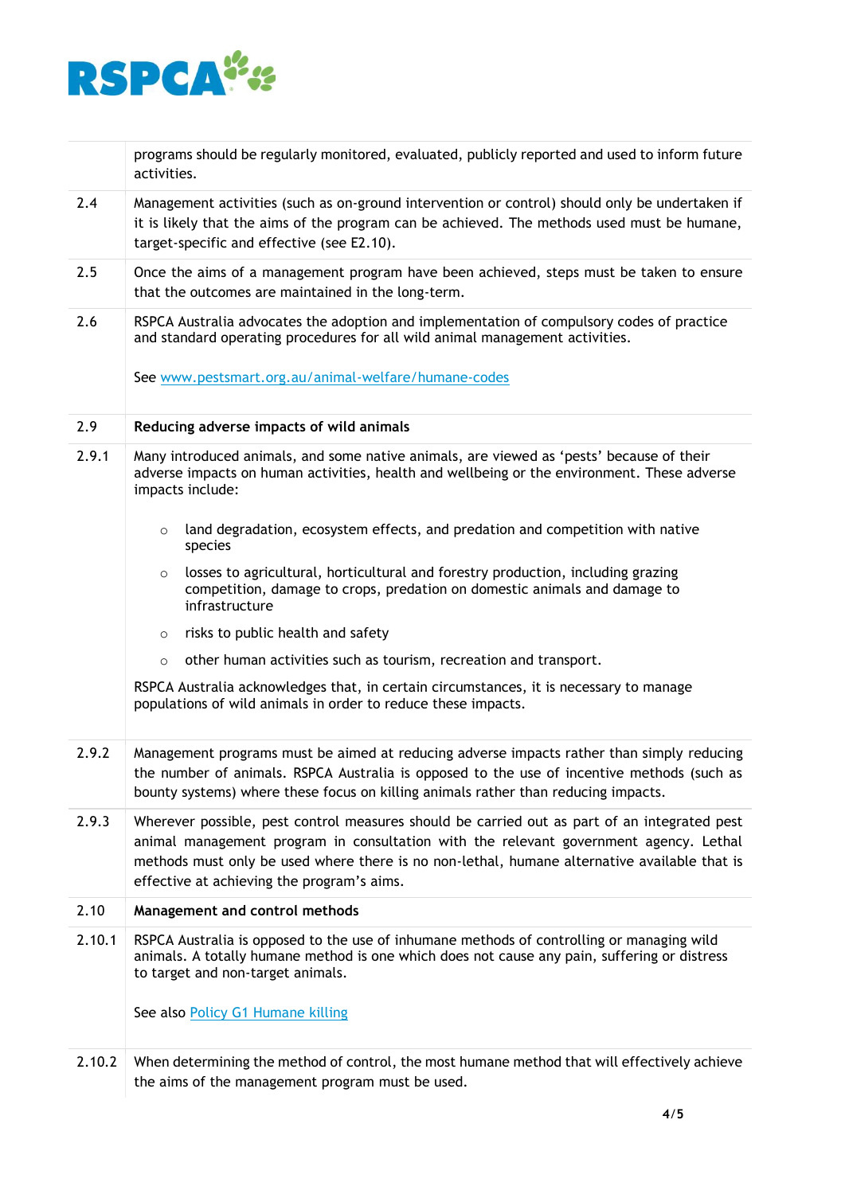

programs should be regularly monitored, evaluated, publicly reported and used to inform future activities.

- 2.4 Management activities (such as on-ground intervention or control) should only be undertaken if it is likely that the aims of the program can be achieved. The methods used must be humane, target-specific and effective (see E2.10).
- 2.5 Once the aims of a management program have been achieved, steps must be taken to ensure that the outcomes are maintained in the long-term.
- 2.6 RSPCA Australia advocates the adoption and implementation of compulsory codes of practice and standard operating procedures for all wild animal management activities.

See [www.pestsmart.org.au/animal-welfare/humane-codes](https://www.pestsmart.org.au/animal-welfare/humane-codes)

### 2.9 **Reducing adverse impacts of wild animals**

- 2.9.1 Many introduced animals, and some native animals, are viewed as 'pests' because of their adverse impacts on human activities, health and wellbeing or the environment. These adverse impacts include:
	- $\circ$  land degradation, ecosystem effects, and predation and competition with native species
	- $\circ$  losses to agricultural, horticultural and forestry production, including grazing competition, damage to crops, predation on domestic animals and damage to infrastructure
	- o risks to public health and safety
	- o other human activities such as tourism, recreation and transport.

RSPCA Australia acknowledges that, in certain circumstances, it is necessary to manage populations of wild animals in order to reduce these impacts.

- 2.9.2 Management programs must be aimed at reducing adverse impacts rather than simply reducing the number of animals. RSPCA Australia is opposed to the use of incentive methods (such as bounty systems) where these focus on killing animals rather than reducing impacts.
- 2.9.3 Wherever possible, pest control measures should be carried out as part of an integrated pest animal management program in consultation with the relevant government agency. Lethal methods must only be used where there is no non-lethal, humane alternative available that is effective at achieving the program's aims.

### 2.10 **Management and control methods**

2.10.1 RSPCA Australia is opposed to the use of inhumane methods of controlling or managing wild animals. A totally humane method is one which does not cause any pain, suffering or distress to target and non-target animals.

See also [Policy G1 Humane killing](https://kb.rspca.org.au/knowledge-base/rspca-policy-g1-humane-killing)

2.10.2 When determining the method of control, the most humane method that will effectively achieve the aims of the management program must be used.